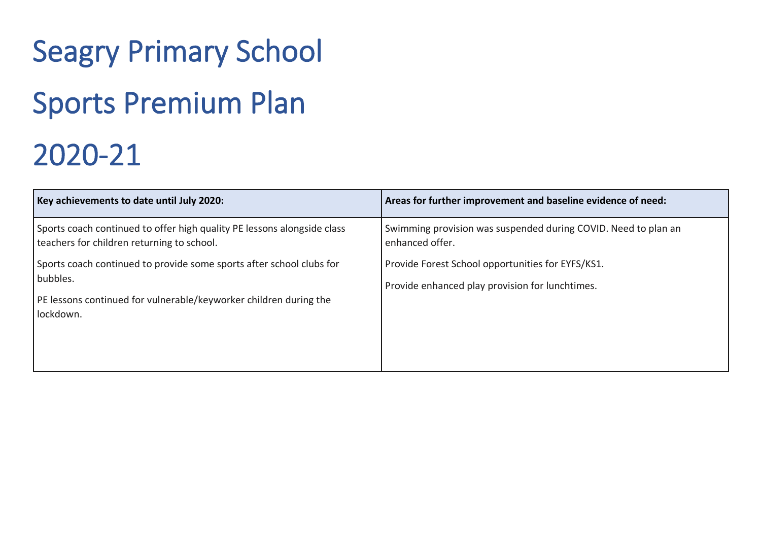## Seagry Primary School Sports Premium Plan 2020-21

| Key achievements to date until July 2020:                                                                                                                          | Areas for further improvement and baseline evidence of need:                                         |
|--------------------------------------------------------------------------------------------------------------------------------------------------------------------|------------------------------------------------------------------------------------------------------|
| Sports coach continued to offer high quality PE lessons alongside class<br>teachers for children returning to school.                                              | Swimming provision was suspended during COVID. Need to plan an<br>enhanced offer.                    |
| Sports coach continued to provide some sports after school clubs for<br>bubbles.<br>PE lessons continued for vulnerable/keyworker children during the<br>lockdown. | Provide Forest School opportunities for EYFS/KS1.<br>Provide enhanced play provision for lunchtimes. |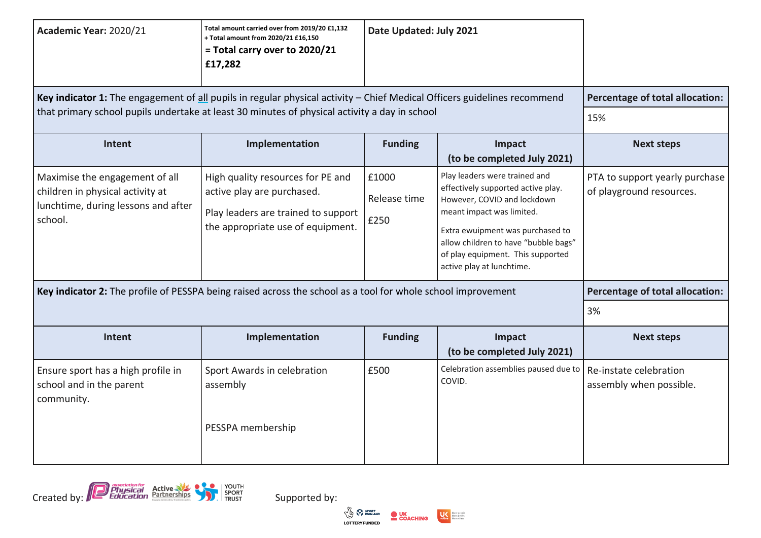| Academic Year: 2020/21                                                                                                                                                                                                    | Total amount carried over from 2019/20 £1,132<br>+ Total amount from 2020/21 £16,150<br>= Total carry over to 2020/21<br>£17,282            | Date Updated: July 2021       |                                                                                                                                                                                                                                                                               |                                                            |
|---------------------------------------------------------------------------------------------------------------------------------------------------------------------------------------------------------------------------|---------------------------------------------------------------------------------------------------------------------------------------------|-------------------------------|-------------------------------------------------------------------------------------------------------------------------------------------------------------------------------------------------------------------------------------------------------------------------------|------------------------------------------------------------|
| Key indicator 1: The engagement of all pupils in regular physical activity - Chief Medical Officers guidelines recommend<br>that primary school pupils undertake at least 30 minutes of physical activity a day in school | Percentage of total allocation:                                                                                                             |                               |                                                                                                                                                                                                                                                                               |                                                            |
|                                                                                                                                                                                                                           |                                                                                                                                             |                               |                                                                                                                                                                                                                                                                               | 15%                                                        |
| Intent                                                                                                                                                                                                                    | Implementation                                                                                                                              | <b>Funding</b>                | Impact<br>(to be completed July 2021)                                                                                                                                                                                                                                         | <b>Next steps</b>                                          |
| Maximise the engagement of all<br>children in physical activity at<br>lunchtime, during lessons and after<br>school.                                                                                                      | High quality resources for PE and<br>active play are purchased.<br>Play leaders are trained to support<br>the appropriate use of equipment. | £1000<br>Release time<br>£250 | Play leaders were trained and<br>effectively supported active play.<br>However, COVID and lockdown<br>meant impact was limited.<br>Extra ewuipment was purchased to<br>allow children to have "bubble bags"<br>of play equipment. This supported<br>active play at lunchtime. | PTA to support yearly purchase<br>of playground resources. |
| Key indicator 2: The profile of PESSPA being raised across the school as a tool for whole school improvement                                                                                                              | Percentage of total allocation:                                                                                                             |                               |                                                                                                                                                                                                                                                                               |                                                            |
|                                                                                                                                                                                                                           | 3%                                                                                                                                          |                               |                                                                                                                                                                                                                                                                               |                                                            |
| Intent                                                                                                                                                                                                                    | Implementation                                                                                                                              | <b>Funding</b>                | Impact<br>(to be completed July 2021)                                                                                                                                                                                                                                         | <b>Next steps</b>                                          |
| Ensure sport has a high profile in<br>school and in the parent<br>community.                                                                                                                                              | Sport Awards in celebration<br>assembly                                                                                                     | £500                          | Celebration assemblies paused due to<br>COVID.                                                                                                                                                                                                                                | Re-instate celebration<br>assembly when possible.          |
|                                                                                                                                                                                                                           | PESSPA membership                                                                                                                           |                               |                                                                                                                                                                                                                                                                               |                                                            |



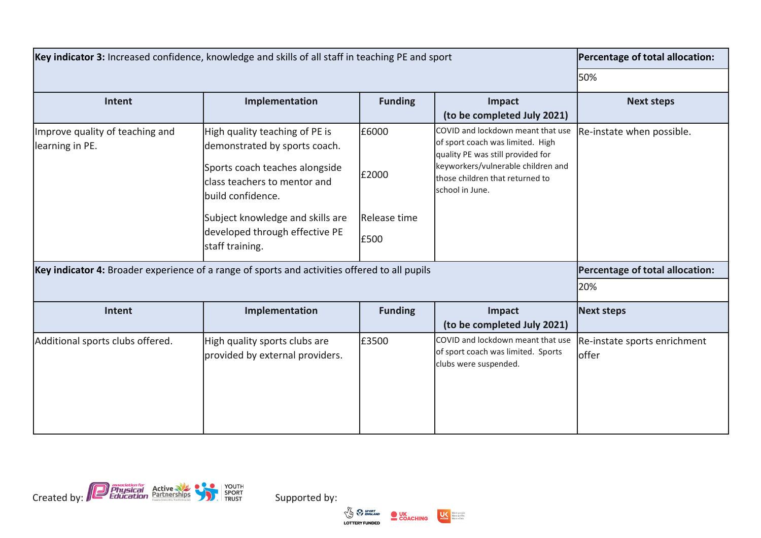| Key indicator 3: Increased confidence, knowledge and skills of all staff in teaching PE and sport                                                   | Percentage of total allocation:                                                                                                                                                                                                                 |                                        |                                                                                                                                                                                                        |                                                              |
|-----------------------------------------------------------------------------------------------------------------------------------------------------|-------------------------------------------------------------------------------------------------------------------------------------------------------------------------------------------------------------------------------------------------|----------------------------------------|--------------------------------------------------------------------------------------------------------------------------------------------------------------------------------------------------------|--------------------------------------------------------------|
|                                                                                                                                                     |                                                                                                                                                                                                                                                 |                                        |                                                                                                                                                                                                        | 50%                                                          |
| Intent                                                                                                                                              | Implementation                                                                                                                                                                                                                                  | <b>Funding</b>                         | Impact<br>(to be completed July 2021)                                                                                                                                                                  | <b>Next steps</b>                                            |
| Improve quality of teaching and<br>learning in PE.<br>Key indicator 4: Broader experience of a range of sports and activities offered to all pupils | High quality teaching of PE is<br>demonstrated by sports coach.<br>Sports coach teaches alongside<br>class teachers to mentor and<br>build confidence.<br>Subject knowledge and skills are<br>developed through effective PE<br>staff training. | £6000<br>£2000<br>Release time<br>£500 | COVID and lockdown meant that use<br>of sport coach was limited. High<br>quality PE was still provided for<br>keyworkers/vulnerable children and<br>those children that returned to<br>school in June. | Re-instate when possible.<br>Percentage of total allocation: |
|                                                                                                                                                     | 20%                                                                                                                                                                                                                                             |                                        |                                                                                                                                                                                                        |                                                              |
| Intent                                                                                                                                              | Implementation                                                                                                                                                                                                                                  | <b>Funding</b>                         | Impact<br>(to be completed July 2021)                                                                                                                                                                  | <b>Next steps</b>                                            |
| Additional sports clubs offered.                                                                                                                    | High quality sports clubs are<br>provided by external providers.                                                                                                                                                                                | £3500                                  | COVID and lockdown meant that use<br>of sport coach was limited. Sports<br>clubs were suspended.                                                                                                       | Re-instate sports enrichment<br>offer                        |